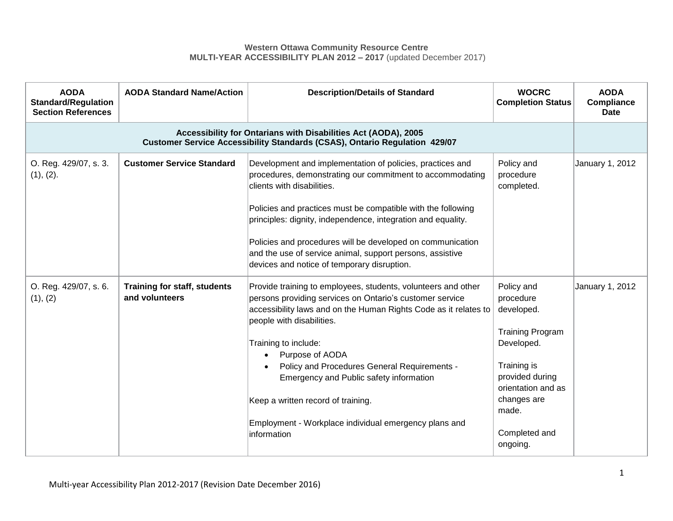## **Western Ottawa Community Resource Centre MULTI-YEAR ACCESSIBILITY PLAN 2012 – 2017** (updated December 2017)

| <b>AODA</b><br><b>Standard/Regulation</b><br><b>Section References</b>                                                                       | <b>AODA Standard Name/Action</b>                      | <b>Description/Details of Standard</b>                                                                                                                                                                                                                                                                                                                                                                                                                                                      | <b>WOCRC</b><br><b>Completion Status</b>                                                                                                                                                    | <b>AODA</b><br>Compliance<br><b>Date</b> |
|----------------------------------------------------------------------------------------------------------------------------------------------|-------------------------------------------------------|---------------------------------------------------------------------------------------------------------------------------------------------------------------------------------------------------------------------------------------------------------------------------------------------------------------------------------------------------------------------------------------------------------------------------------------------------------------------------------------------|---------------------------------------------------------------------------------------------------------------------------------------------------------------------------------------------|------------------------------------------|
| Accessibility for Ontarians with Disabilities Act (AODA), 2005<br>Customer Service Accessibility Standards (CSAS), Ontario Regulation 429/07 |                                                       |                                                                                                                                                                                                                                                                                                                                                                                                                                                                                             |                                                                                                                                                                                             |                                          |
| O. Reg. 429/07, s. 3.<br>(1), (2).                                                                                                           | <b>Customer Service Standard</b>                      | Development and implementation of policies, practices and<br>procedures, demonstrating our commitment to accommodating<br>clients with disabilities.<br>Policies and practices must be compatible with the following<br>principles: dignity, independence, integration and equality.<br>Policies and procedures will be developed on communication<br>and the use of service animal, support persons, assistive<br>devices and notice of temporary disruption.                              | Policy and<br>procedure<br>completed.                                                                                                                                                       | January 1, 2012                          |
| O. Reg. 429/07, s. 6.<br>(1), (2)                                                                                                            | <b>Training for staff, students</b><br>and volunteers | Provide training to employees, students, volunteers and other<br>persons providing services on Ontario's customer service<br>accessibility laws and on the Human Rights Code as it relates to<br>people with disabilities.<br>Training to include:<br>Purpose of AODA<br>$\bullet$<br>Policy and Procedures General Requirements -<br>Emergency and Public safety information<br>Keep a written record of training.<br>Employment - Workplace individual emergency plans and<br>information | Policy and<br>procedure<br>developed.<br><b>Training Program</b><br>Developed.<br>Training is<br>provided during<br>orientation and as<br>changes are<br>made.<br>Completed and<br>ongoing. | January 1, 2012                          |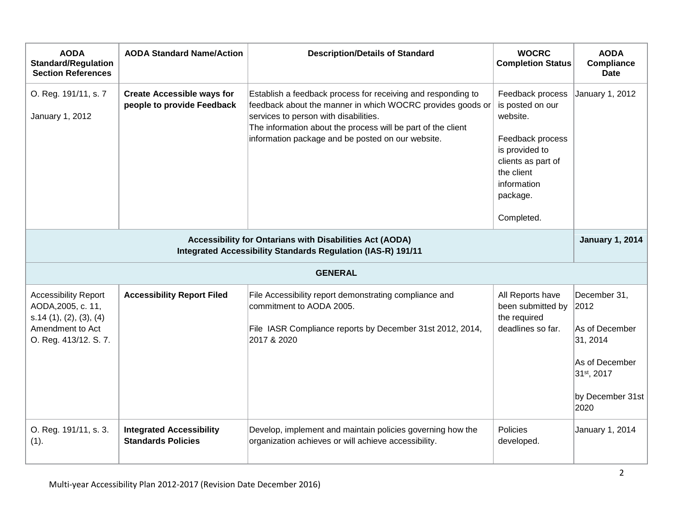| <b>AODA</b><br><b>Standard/Regulation</b><br><b>Section References</b>                                                                             | <b>AODA Standard Name/Action</b>                                | <b>Description/Details of Standard</b>                                                                                                                                                                                                                                                   | <b>WOCRC</b><br><b>Completion Status</b>                                                                                                                            | <b>AODA</b><br><b>Compliance</b><br><b>Date</b>                                                                 |  |
|----------------------------------------------------------------------------------------------------------------------------------------------------|-----------------------------------------------------------------|------------------------------------------------------------------------------------------------------------------------------------------------------------------------------------------------------------------------------------------------------------------------------------------|---------------------------------------------------------------------------------------------------------------------------------------------------------------------|-----------------------------------------------------------------------------------------------------------------|--|
| O. Reg. 191/11, s. 7<br>January 1, 2012                                                                                                            | <b>Create Accessible ways for</b><br>people to provide Feedback | Establish a feedback process for receiving and responding to<br>feedback about the manner in which WOCRC provides goods or<br>services to person with disabilities.<br>The information about the process will be part of the client<br>information package and be posted on our website. | Feedback process<br>is posted on our<br>website.<br>Feedback process<br>is provided to<br>clients as part of<br>the client<br>information<br>package.<br>Completed. | January 1, 2012                                                                                                 |  |
| Accessibility for Ontarians with Disabilities Act (AODA)<br><b>January 1, 2014</b><br>Integrated Accessibility Standards Regulation (IAS-R) 191/11 |                                                                 |                                                                                                                                                                                                                                                                                          |                                                                                                                                                                     |                                                                                                                 |  |
|                                                                                                                                                    |                                                                 | <b>GENERAL</b>                                                                                                                                                                                                                                                                           |                                                                                                                                                                     |                                                                                                                 |  |
| <b>Accessibility Report</b><br>AODA, 2005, c. 11,<br>s.14(1), (2), (3), (4)<br>Amendment to Act<br>O. Reg. 413/12. S. 7.                           | <b>Accessibility Report Filed</b>                               | File Accessibility report demonstrating compliance and<br>commitment to AODA 2005.<br>File IASR Compliance reports by December 31st 2012, 2014,<br>2017 & 2020                                                                                                                           | All Reports have<br>been submitted by<br>the required<br>deadlines so far.                                                                                          | December 31,<br> 2012<br>As of December<br>31, 2014<br>As of December<br>31st, 2017<br>by December 31st<br>2020 |  |
| O. Reg. 191/11, s. 3.<br>(1).                                                                                                                      | <b>Integrated Accessibility</b><br><b>Standards Policies</b>    | Develop, implement and maintain policies governing how the<br>organization achieves or will achieve accessibility.                                                                                                                                                                       | Policies<br>developed.                                                                                                                                              | January 1, 2014                                                                                                 |  |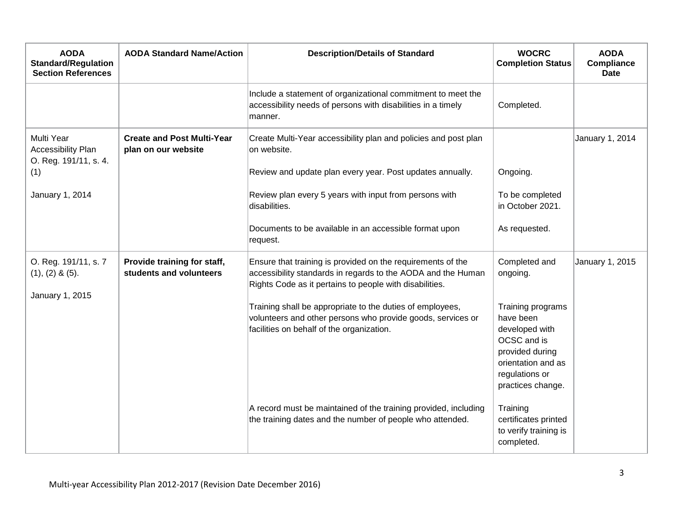| <b>AODA</b><br><b>Standard/Regulation</b><br><b>Section References</b> | <b>AODA Standard Name/Action</b>                         | <b>Description/Details of Standard</b>                                                                                                                                                 | <b>WOCRC</b><br><b>Completion Status</b>                                                                                                        | <b>AODA</b><br>Compliance<br><b>Date</b> |
|------------------------------------------------------------------------|----------------------------------------------------------|----------------------------------------------------------------------------------------------------------------------------------------------------------------------------------------|-------------------------------------------------------------------------------------------------------------------------------------------------|------------------------------------------|
|                                                                        |                                                          | Include a statement of organizational commitment to meet the<br>accessibility needs of persons with disabilities in a timely<br>manner.                                                | Completed.                                                                                                                                      |                                          |
| Multi Year<br>Accessibility Plan<br>O. Reg. 191/11, s. 4.              | <b>Create and Post Multi-Year</b><br>plan on our website | Create Multi-Year accessibility plan and policies and post plan<br>on website.                                                                                                         |                                                                                                                                                 | January 1, 2014                          |
| (1)                                                                    |                                                          | Review and update plan every year. Post updates annually.                                                                                                                              | Ongoing.                                                                                                                                        |                                          |
| January 1, 2014                                                        |                                                          | Review plan every 5 years with input from persons with<br>disabilities.                                                                                                                | To be completed<br>in October 2021.                                                                                                             |                                          |
|                                                                        |                                                          | Documents to be available in an accessible format upon<br>request.                                                                                                                     | As requested.                                                                                                                                   |                                          |
| O. Reg. 191/11, s. 7<br>$(1), (2)$ & $(5).$<br>January 1, 2015         | Provide training for staff,<br>students and volunteers   | Ensure that training is provided on the requirements of the<br>accessibility standards in regards to the AODA and the Human<br>Rights Code as it pertains to people with disabilities. | Completed and<br>ongoing.                                                                                                                       | January 1, 2015                          |
|                                                                        |                                                          | Training shall be appropriate to the duties of employees,<br>volunteers and other persons who provide goods, services or<br>facilities on behalf of the organization.                  | Training programs<br>have been<br>developed with<br>OCSC and is<br>provided during<br>orientation and as<br>regulations or<br>practices change. |                                          |
|                                                                        |                                                          | A record must be maintained of the training provided, including<br>the training dates and the number of people who attended.                                                           | Training<br>certificates printed<br>to verify training is<br>completed.                                                                         |                                          |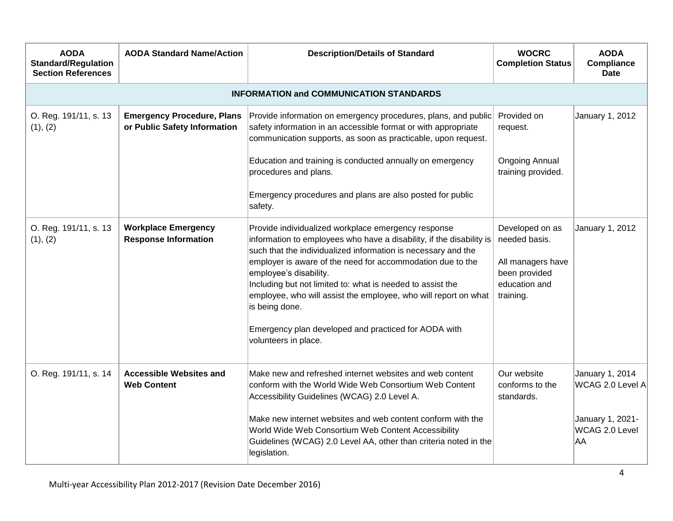| <b>AODA</b><br><b>Standard/Regulation</b><br><b>Section References</b> | <b>AODA Standard Name/Action</b>                                  | <b>Description/Details of Standard</b>                                                                                                                                                                                                                                                                                                                                                                                                                                                                                  | <b>WOCRC</b><br><b>Completion Status</b>                                                             | <b>AODA</b><br>Compliance<br><b>Date</b> |
|------------------------------------------------------------------------|-------------------------------------------------------------------|-------------------------------------------------------------------------------------------------------------------------------------------------------------------------------------------------------------------------------------------------------------------------------------------------------------------------------------------------------------------------------------------------------------------------------------------------------------------------------------------------------------------------|------------------------------------------------------------------------------------------------------|------------------------------------------|
|                                                                        |                                                                   | <b>INFORMATION and COMMUNICATION STANDARDS</b>                                                                                                                                                                                                                                                                                                                                                                                                                                                                          |                                                                                                      |                                          |
| O. Reg. 191/11, s. 13<br>(1), (2)                                      | <b>Emergency Procedure, Plans</b><br>or Public Safety Information | Provide information on emergency procedures, plans, and public<br>safety information in an accessible format or with appropriate<br>communication supports, as soon as practicable, upon request.                                                                                                                                                                                                                                                                                                                       | Provided on<br>request.                                                                              | January 1, 2012                          |
|                                                                        |                                                                   | Education and training is conducted annually on emergency<br>procedures and plans.                                                                                                                                                                                                                                                                                                                                                                                                                                      | <b>Ongoing Annual</b><br>training provided.                                                          |                                          |
|                                                                        |                                                                   | Emergency procedures and plans are also posted for public<br>safety.                                                                                                                                                                                                                                                                                                                                                                                                                                                    |                                                                                                      |                                          |
| O. Reg. 191/11, s. 13<br>(1), (2)                                      | <b>Workplace Emergency</b><br><b>Response Information</b>         | Provide individualized workplace emergency response<br>information to employees who have a disability, if the disability is<br>such that the individualized information is necessary and the<br>employer is aware of the need for accommodation due to the<br>employee's disability.<br>Including but not limited to: what is needed to assist the<br>employee, who will assist the employee, who will report on what<br>is being done.<br>Emergency plan developed and practiced for AODA with<br>volunteers in place. | Developed on as<br>needed basis.<br>All managers have<br>been provided<br>education and<br>training. | January 1, 2012                          |
| O. Reg. 191/11, s. 14                                                  | <b>Accessible Websites and</b><br><b>Web Content</b>              | Make new and refreshed internet websites and web content<br>conform with the World Wide Web Consortium Web Content<br>Accessibility Guidelines (WCAG) 2.0 Level A.                                                                                                                                                                                                                                                                                                                                                      | Our website<br>conforms to the<br>standards.                                                         | January 1, 2014<br>WCAG 2.0 Level A      |
|                                                                        |                                                                   | Make new internet websites and web content conform with the<br>World Wide Web Consortium Web Content Accessibility<br>Guidelines (WCAG) 2.0 Level AA, other than criteria noted in the<br>legislation.                                                                                                                                                                                                                                                                                                                  |                                                                                                      | January 1, 2021-<br>WCAG 2.0 Level<br>AA |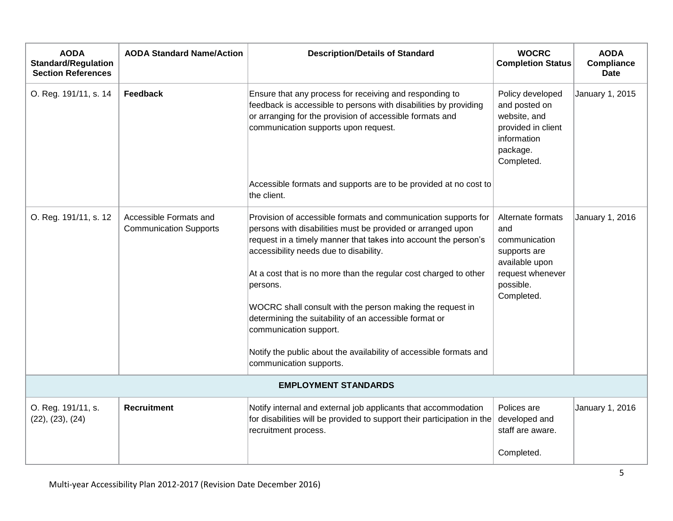| <b>AODA</b><br><b>Standard/Regulation</b><br><b>Section References</b> | <b>AODA Standard Name/Action</b>                        | <b>Description/Details of Standard</b>                                                                                                                                                                                                                                                                                                                                                                                                                                                                                                                                       | <b>WOCRC</b><br><b>Completion Status</b>                                                                                   | <b>AODA</b><br>Compliance<br><b>Date</b> |  |
|------------------------------------------------------------------------|---------------------------------------------------------|------------------------------------------------------------------------------------------------------------------------------------------------------------------------------------------------------------------------------------------------------------------------------------------------------------------------------------------------------------------------------------------------------------------------------------------------------------------------------------------------------------------------------------------------------------------------------|----------------------------------------------------------------------------------------------------------------------------|------------------------------------------|--|
| O. Reg. 191/11, s. 14                                                  | Feedback                                                | Ensure that any process for receiving and responding to<br>feedback is accessible to persons with disabilities by providing<br>or arranging for the provision of accessible formats and<br>communication supports upon request.                                                                                                                                                                                                                                                                                                                                              | Policy developed<br>and posted on<br>website, and<br>provided in client<br>information<br>package.<br>Completed.           | January 1, 2015                          |  |
|                                                                        |                                                         | Accessible formats and supports are to be provided at no cost to<br>the client.                                                                                                                                                                                                                                                                                                                                                                                                                                                                                              |                                                                                                                            |                                          |  |
| O. Reg. 191/11, s. 12                                                  | Accessible Formats and<br><b>Communication Supports</b> | Provision of accessible formats and communication supports for<br>persons with disabilities must be provided or arranged upon<br>request in a timely manner that takes into account the person's<br>accessibility needs due to disability.<br>At a cost that is no more than the regular cost charged to other<br>persons.<br>WOCRC shall consult with the person making the request in<br>determining the suitability of an accessible format or<br>communication support.<br>Notify the public about the availability of accessible formats and<br>communication supports. | Alternate formats<br>and<br>communication<br>supports are<br>available upon<br>request whenever<br>possible.<br>Completed. | January 1, 2016                          |  |
| <b>EMPLOYMENT STANDARDS</b>                                            |                                                         |                                                                                                                                                                                                                                                                                                                                                                                                                                                                                                                                                                              |                                                                                                                            |                                          |  |
| O. Reg. 191/11, s.<br>(22), (23), (24)                                 | <b>Recruitment</b>                                      | Notify internal and external job applicants that accommodation<br>for disabilities will be provided to support their participation in the<br>recruitment process.                                                                                                                                                                                                                                                                                                                                                                                                            | Polices are<br>developed and<br>staff are aware.<br>Completed.                                                             | January 1, 2016                          |  |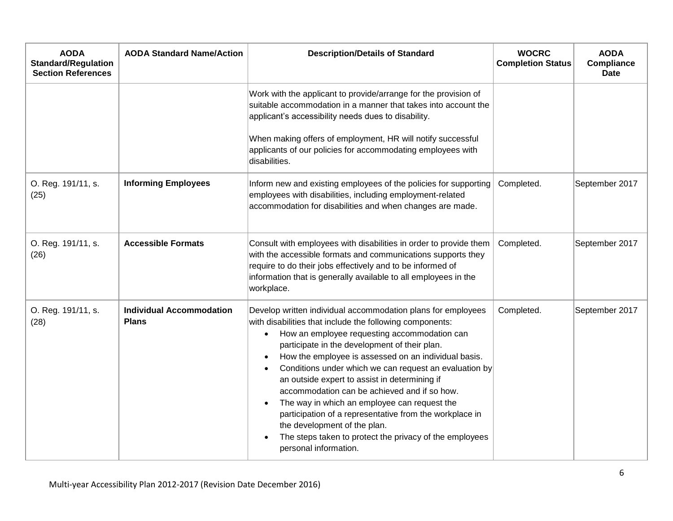| <b>AODA</b><br><b>Standard/Regulation</b><br><b>Section References</b> | <b>AODA Standard Name/Action</b>                | <b>Description/Details of Standard</b>                                                                                                                                                                                                                                                                                                                                                                                                                                                                                                                                                                                                                                                                | <b>WOCRC</b><br><b>Completion Status</b> | <b>AODA</b><br>Compliance<br><b>Date</b> |
|------------------------------------------------------------------------|-------------------------------------------------|-------------------------------------------------------------------------------------------------------------------------------------------------------------------------------------------------------------------------------------------------------------------------------------------------------------------------------------------------------------------------------------------------------------------------------------------------------------------------------------------------------------------------------------------------------------------------------------------------------------------------------------------------------------------------------------------------------|------------------------------------------|------------------------------------------|
|                                                                        |                                                 | Work with the applicant to provide/arrange for the provision of<br>suitable accommodation in a manner that takes into account the<br>applicant's accessibility needs dues to disability.<br>When making offers of employment, HR will notify successful<br>applicants of our policies for accommodating employees with<br>disabilities.                                                                                                                                                                                                                                                                                                                                                               |                                          |                                          |
| O. Reg. 191/11, s.<br>(25)                                             | <b>Informing Employees</b>                      | Inform new and existing employees of the policies for supporting<br>employees with disabilities, including employment-related<br>accommodation for disabilities and when changes are made.                                                                                                                                                                                                                                                                                                                                                                                                                                                                                                            | Completed.                               | September 2017                           |
| O. Reg. 191/11, s.<br>(26)                                             | <b>Accessible Formats</b>                       | Consult with employees with disabilities in order to provide them<br>with the accessible formats and communications supports they<br>require to do their jobs effectively and to be informed of<br>information that is generally available to all employees in the<br>workplace.                                                                                                                                                                                                                                                                                                                                                                                                                      | Completed.                               | September 2017                           |
| O. Reg. 191/11, s.<br>(28)                                             | <b>Individual Accommodation</b><br><b>Plans</b> | Develop written individual accommodation plans for employees<br>with disabilities that include the following components:<br>How an employee requesting accommodation can<br>$\bullet$<br>participate in the development of their plan.<br>How the employee is assessed on an individual basis.<br>Conditions under which we can request an evaluation by<br>an outside expert to assist in determining if<br>accommodation can be achieved and if so how.<br>The way in which an employee can request the<br>$\bullet$<br>participation of a representative from the workplace in<br>the development of the plan.<br>The steps taken to protect the privacy of the employees<br>personal information. | Completed.                               | September 2017                           |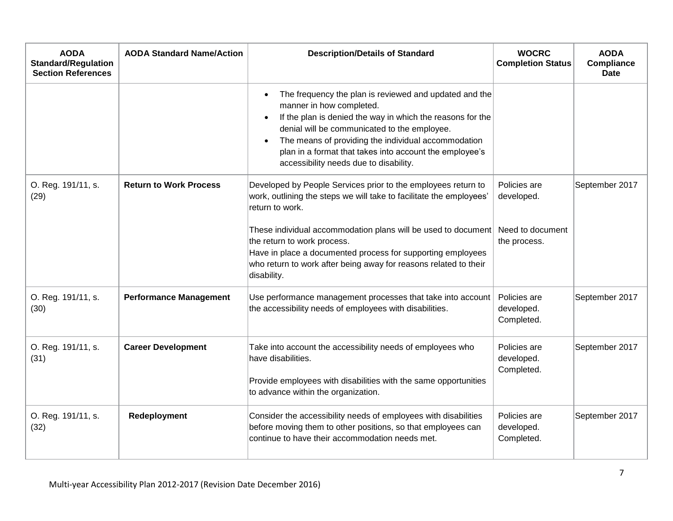| <b>AODA</b><br><b>Standard/Regulation</b><br><b>Section References</b> | <b>AODA Standard Name/Action</b> | <b>Description/Details of Standard</b>                                                                                                                                                                                                                                                                                                                                                              | <b>WOCRC</b><br><b>Completion Status</b>                       | <b>AODA</b><br><b>Compliance</b><br><b>Date</b> |
|------------------------------------------------------------------------|----------------------------------|-----------------------------------------------------------------------------------------------------------------------------------------------------------------------------------------------------------------------------------------------------------------------------------------------------------------------------------------------------------------------------------------------------|----------------------------------------------------------------|-------------------------------------------------|
|                                                                        |                                  | The frequency the plan is reviewed and updated and the<br>$\bullet$<br>manner in how completed.<br>If the plan is denied the way in which the reasons for the<br>$\bullet$<br>denial will be communicated to the employee.<br>The means of providing the individual accommodation<br>$\bullet$<br>plan in a format that takes into account the employee's<br>accessibility needs due to disability. |                                                                |                                                 |
| O. Reg. 191/11, s.<br>(29)                                             | <b>Return to Work Process</b>    | Developed by People Services prior to the employees return to<br>work, outlining the steps we will take to facilitate the employees'<br>return to work.<br>These individual accommodation plans will be used to document<br>the return to work process.                                                                                                                                             | Policies are<br>developed.<br>Need to document<br>the process. | September 2017                                  |
|                                                                        |                                  | Have in place a documented process for supporting employees<br>who return to work after being away for reasons related to their<br>disability.                                                                                                                                                                                                                                                      |                                                                |                                                 |
| O. Reg. 191/11, s.<br>(30)                                             | <b>Performance Management</b>    | Use performance management processes that take into account<br>the accessibility needs of employees with disabilities.                                                                                                                                                                                                                                                                              | Policies are<br>developed.<br>Completed.                       | September 2017                                  |
| O. Reg. 191/11, s.<br>(31)                                             | <b>Career Development</b>        | Take into account the accessibility needs of employees who<br>have disabilities.<br>Provide employees with disabilities with the same opportunities<br>to advance within the organization.                                                                                                                                                                                                          | Policies are<br>developed.<br>Completed.                       | September 2017                                  |
| O. Reg. 191/11, s.<br>(32)                                             | Redeployment                     | Consider the accessibility needs of employees with disabilities<br>before moving them to other positions, so that employees can<br>continue to have their accommodation needs met.                                                                                                                                                                                                                  | Policies are<br>developed.<br>Completed.                       | September 2017                                  |